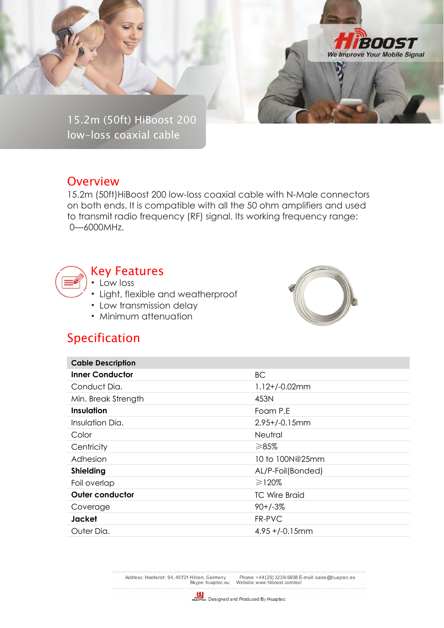

15.2m (50ft) HiBoost 200 low-loss coaxial cable

## **Overview**

15.2m (50ft)HiBoost 200 low-loss coaxial cable with N-Male connectors on both ends. It is compatible with all the 50 ohm amplifiers and used to transmit radio frequency (RF) signal. Its working frequency range: 0—6000MHz.



## Key Features

• Low loss

- Light, flexible and weatherproof
- Low transmission delay
- Minimum attenuation



## Specification

| <b>Cable Description</b> |                      |
|--------------------------|----------------------|
| <b>Inner Conductor</b>   | <b>BC</b>            |
| Conduct Dia.             | $1.12 + / -0.02$ mm  |
| Min. Break Strength      | 453N                 |
| Insulation               | Foam P.E             |
| Insulation Dia.          | $2.95 + (-0.15)$ mm  |
| Color                    | <b>Neutral</b>       |
| Centricity               | ≥85%                 |
| Adhesion                 | 10 to 100N@25mm      |
| <b>Shielding</b>         | AL/P-Foil(Bonded)    |
| Foil overlap             | ≥120%                |
| <b>Outer conductor</b>   | <b>TC Wire Braid</b> |
| Coverage                 | $90+/-3%$            |
| Jacket                   | FR-PVC               |
| Outer Dia.               | $4.95 + (-0.15)$ mm  |

Address: Herderstr. 94, 40721 Hilden, Germany<br>Skype: huaptec.eu Phone: +44 (20) 3239-5808 E-mail: sales@huaptec.eu<br>Website: www.hiboost.com/eu/